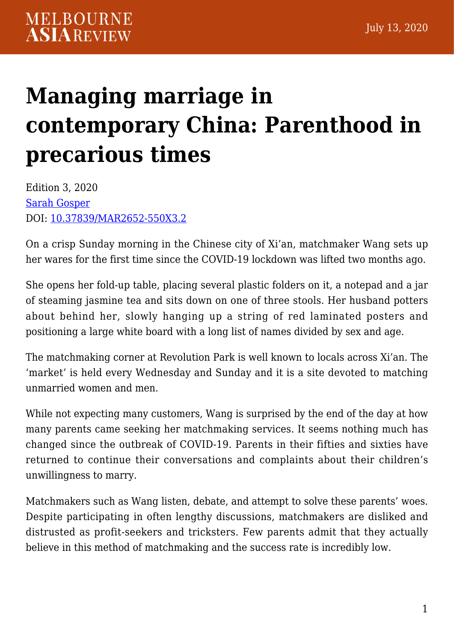## **[Managing marriage in](https://melbourneasiareview.edu.au/managing-marriage-in-contemporary-china-parenthood-in-precarious-times/) [contemporary China: Parenthood in](https://melbourneasiareview.edu.au/managing-marriage-in-contemporary-china-parenthood-in-precarious-times/) [precarious times](https://melbourneasiareview.edu.au/managing-marriage-in-contemporary-china-parenthood-in-precarious-times/)**

Edition 3, 2020 [Sarah Gosper](https://www.researchgate.net/profile/Sarah_Gosper2) DOI: 10.37839/MAR2652-550X3.2

On a crisp Sunday morning in the Chinese city of Xi'an, matchmaker Wang sets up her wares for the first time since the COVID-19 lockdown was lifted two months ago.

She opens her fold-up table, placing several plastic folders on it, a notepad and a jar of steaming jasmine tea and sits down on one of three stools. Her husband potters about behind her, slowly hanging up a string of red laminated posters and positioning a large white board with a long list of names divided by sex and age.

The matchmaking corner at Revolution Park is well known to locals across Xi'an. The 'market' is held every Wednesday and Sunday and it is a site devoted to matching unmarried women and men.

While not expecting many customers, Wang is surprised by the end of the day at how many parents came seeking her matchmaking services. It seems nothing much has changed since the outbreak of COVID-19. Parents in their fifties and sixties have returned to continue their conversations and complaints about their children's unwillingness to marry.

Matchmakers such as Wang listen, debate, and attempt to solve these parents' woes. Despite participating in often lengthy discussions, matchmakers are disliked and distrusted as profit-seekers and tricksters. Few parents admit that they actually believe in this method of matchmaking and the success rate is incredibly low.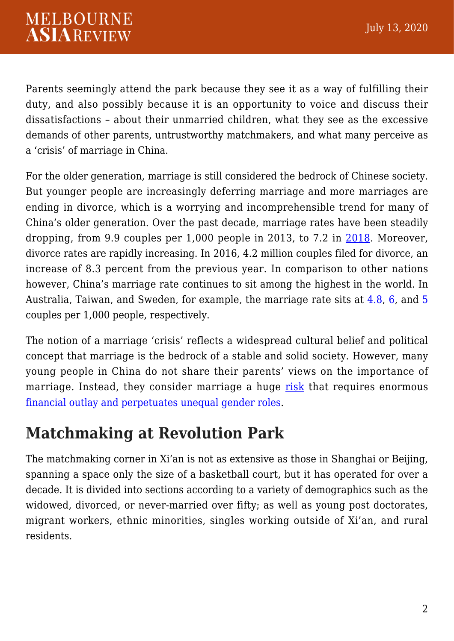Parents seemingly attend the park because they see it as a way of fulfilling their duty, and also possibly because it is an opportunity to voice and discuss their dissatisfactions – about their unmarried children, what they see as the excessive demands of other parents, untrustworthy matchmakers, and what many perceive as a 'crisis' of marriage in China.

For the older generation, marriage is still considered the bedrock of Chinese society. But younger people are increasingly deferring marriage and more marriages are ending in divorce, which is a worrying and incomprehensible trend for many of China's older generation. Over the past decade, marriage rates have been steadily dropping, from 9.9 couples per 1,000 people in 2013, to 7.2 in [2018.](http://www.stats.gov.cn/tjsj/ndsj/2019/indexeh.htm) Moreover, divorce rates are rapidly increasing. In 2016, 4.2 million couples filed for divorce, an increase of 8.3 percent from the previous year. In comparison to other nations however, China's marriage rate continues to sit among the highest in the world. In Australia, Taiwan, and Sweden, for example, the marriage rate sits at  $4.8$ ,  $6$ , and  $5$ couples per 1,000 people, respectively.

The notion of a marriage 'crisis' reflects a widespread cultural belief and political concept that marriage is the bedrock of a stable and solid society. However, many young people in China do not share their parents' views on the importance of marriage. Instead, they consider marriage a huge [risk](http://www.sixthtone.com/news/1002717/its-complicated-chinese-millennials-and-marriage) that requires enormous [financial outlay and perpetuates unequal gender roles](https://press.uchicago.edu/ucp/books/book/distributed/L/bo25073065.html).

#### **Matchmaking at Revolution Park**

The matchmaking corner in Xi'an is not as extensive as those in Shanghai or Beijing, spanning a space only the size of a basketball court, but it has operated for over a decade. It is divided into sections according to a variety of demographics such as the widowed, divorced, or never-married over fifty; as well as young post doctorates, migrant workers, ethnic minorities, singles working outside of Xi'an, and rural residents.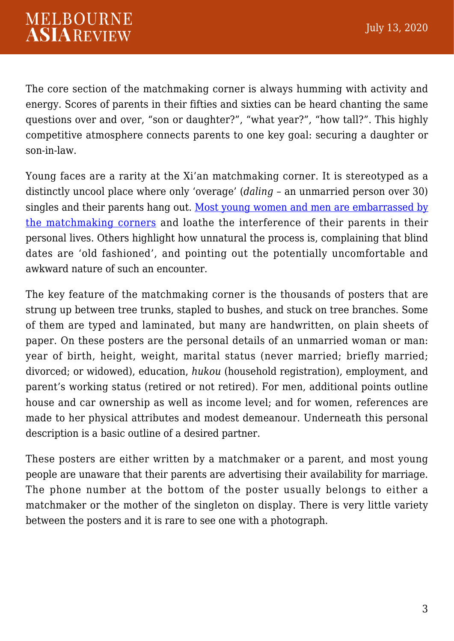The core section of the matchmaking corner is always humming with activity and energy. Scores of parents in their fifties and sixties can be heard chanting the same questions over and over, "son or daughter?", "what year?", "how tall?". This highly competitive atmosphere connects parents to one key goal: securing a daughter or son-in-law.

Young faces are a rarity at the Xi'an matchmaking corner. It is stereotyped as a distinctly uncool place where only 'overage' (*daling* – an unmarried person over 30) singles and their parents hang out. [Most young women and men are embarrassed by](https://www.academia.edu/14520753/my_first_book_Who_will_marry_my_daughter_Shanghai_Parental_Matchmaking_Corner_and_White_Matchmaking_) [the matchmaking corners](https://www.academia.edu/14520753/my_first_book_Who_will_marry_my_daughter_Shanghai_Parental_Matchmaking_Corner_and_White_Matchmaking_) and loathe the interference of their parents in their personal lives. Others highlight how unnatural the process is, complaining that blind dates are 'old fashioned', and pointing out the potentially uncomfortable and awkward nature of such an encounter.

The key feature of the matchmaking corner is the thousands of posters that are strung up between tree trunks, stapled to bushes, and stuck on tree branches. Some of them are typed and laminated, but many are handwritten, on plain sheets of paper. On these posters are the personal details of an unmarried woman or man: year of birth, height, weight, marital status (never married; briefly married; divorced; or widowed), education, *hukou* (household registration), employment, and parent's working status (retired or not retired). For men, additional points outline house and car ownership as well as income level; and for women, references are made to her physical attributes and modest demeanour. Underneath this personal description is a basic outline of a desired partner.

These posters are either written by a matchmaker or a parent, and most young people are unaware that their parents are advertising their availability for marriage. The phone number at the bottom of the poster usually belongs to either a matchmaker or the mother of the singleton on display. There is very little variety between the posters and it is rare to see one with a photograph.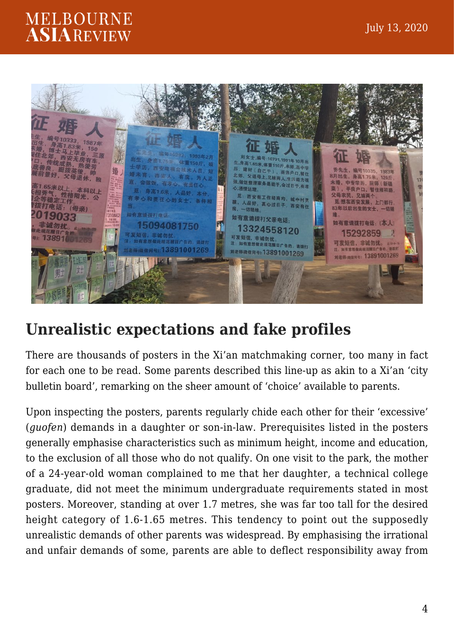#### **MELBOURNE ASIAREVIEW**



### **Unrealistic expectations and fake profiles**

There are thousands of posters in the Xi'an matchmaking corner, too many in fact for each one to be read. Some parents described this line-up as akin to a Xi'an 'city bulletin board', remarking on the sheer amount of 'choice' available to parents.

Upon inspecting the posters, parents regularly chide each other for their 'excessive' (*guofen*) demands in a daughter or son-in-law. Prerequisites listed in the posters generally emphasise characteristics such as minimum height, income and education, to the exclusion of all those who do not qualify. On one visit to the park, the mother of a 24-year-old woman complained to me that her daughter, a technical college graduate, did not meet the minimum undergraduate requirements stated in most posters. Moreover, standing at over 1.7 metres, she was far too tall for the desired height category of 1.6-1.65 metres. This tendency to point out the supposedly unrealistic demands of other parents was widespread. By emphasising the irrational and unfair demands of some, parents are able to deflect responsibility away from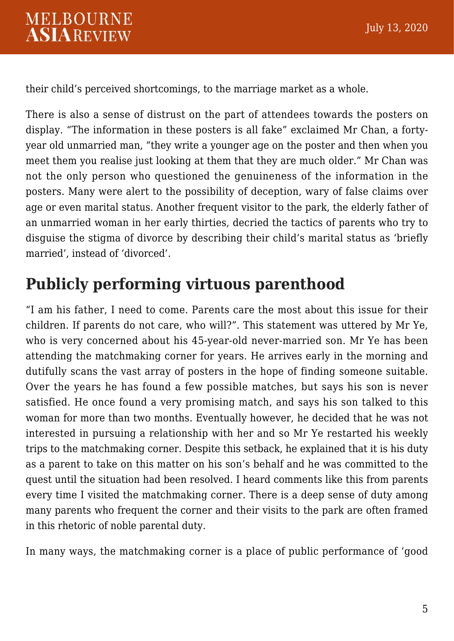their child's perceived shortcomings, to the marriage market as a whole.

There is also a sense of distrust on the part of attendees towards the posters on display. "The information in these posters is all fake" exclaimed Mr Chan, a fortyyear old unmarried man, "they write a younger age on the poster and then when you meet them you realise just looking at them that they are much older." Mr Chan was not the only person who questioned the genuineness of the information in the posters. Many were alert to the possibility of deception, wary of false claims over age or even marital status. Another frequent visitor to the park, the elderly father of an unmarried woman in her early thirties, decried the tactics of parents who try to disguise the stigma of divorce by describing their child's marital status as 'briefly married', instead of 'divorced'.

### **Publicly performing virtuous parenthood**

"I am his father, I need to come. Parents care the most about this issue for their children. If parents do not care, who will?". This statement was uttered by Mr Ye, who is very concerned about his 45-year-old never-married son. Mr Ye has been attending the matchmaking corner for years. He arrives early in the morning and dutifully scans the vast array of posters in the hope of finding someone suitable. Over the years he has found a few possible matches, but says his son is never satisfied. He once found a very promising match, and says his son talked to this woman for more than two months. Eventually however, he decided that he was not interested in pursuing a relationship with her and so Mr Ye restarted his weekly trips to the matchmaking corner. Despite this setback, he explained that it is his duty as a parent to take on this matter on his son's behalf and he was committed to the quest until the situation had been resolved. I heard comments like this from parents every time I visited the matchmaking corner. There is a deep sense of duty among many parents who frequent the corner and their visits to the park are often framed in this rhetoric of noble parental duty.

In many ways, the matchmaking corner is a place of public performance of 'good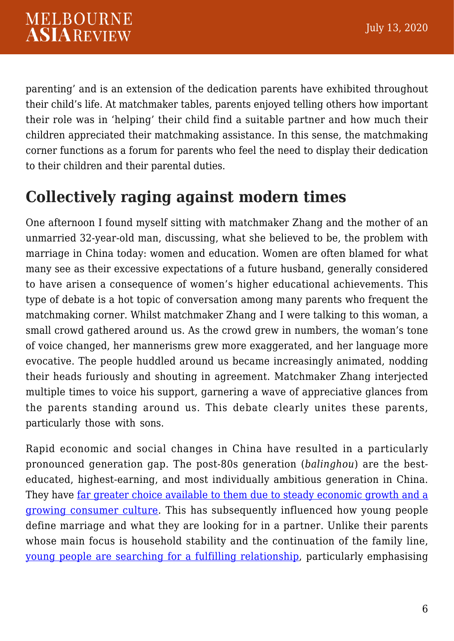parenting' and is an extension of the dedication parents have exhibited throughout their child's life. At matchmaker tables, parents enjoyed telling others how important their role was in 'helping' their child find a suitable partner and how much their children appreciated their matchmaking assistance. In this sense, the matchmaking corner functions as a forum for parents who feel the need to display their dedication to their children and their parental duties.

#### **Collectively raging against modern times**

One afternoon I found myself sitting with matchmaker Zhang and the mother of an unmarried 32-year-old man, discussing, what she believed to be, the problem with marriage in China today: women and education. Women are often blamed for what many see as their excessive expectations of a future husband, generally considered to have arisen a consequence of women's higher educational achievements. This type of debate is a hot topic of conversation among many parents who frequent the matchmaking corner. Whilst matchmaker Zhang and I were talking to this woman, a small crowd gathered around us. As the crowd grew in numbers, the woman's tone of voice changed, her mannerisms grew more exaggerated, and her language more evocative. The people huddled around us became increasingly animated, nodding their heads furiously and shouting in agreement. Matchmaker Zhang interjected multiple times to voice his support, garnering a wave of appreciative glances from the parents standing around us. This debate clearly unites these parents, particularly those with sons.

Rapid economic and social changes in China have resulted in a particularly pronounced generation gap. The post-80s generation (*balinghou*) are the besteducated, highest-earning, and most individually ambitious generation in China. They have [far greater choice available to them due to steady economic growth and a](https://www.brown.edu/news/2019-11-12/animals) [growing consumer culture](https://www.brown.edu/news/2019-11-12/animals). This has subsequently influenced how young people define marriage and what they are looking for in a partner. Unlike their parents whose main focus is household stability and the continuation of the family line, [young people are searching for a fulfilling relationship](https://www.e-elgar.com/shop/gbp/handbook-on-the-family-and-marriage-in-china-9781785368189.html), particularly emphasising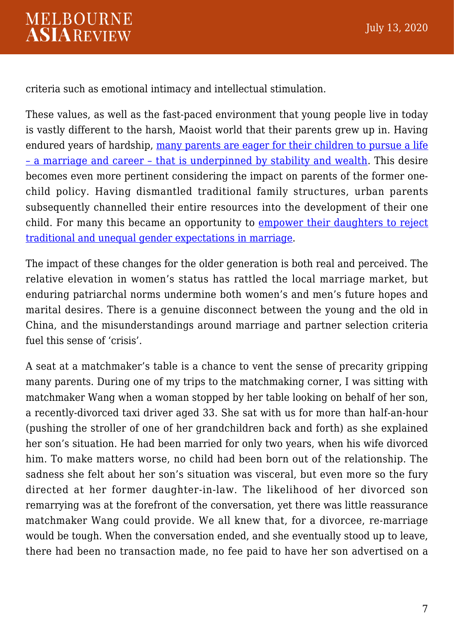criteria such as emotional intimacy and intellectual stimulation.

These values, as well as the fast-paced environment that young people live in today is vastly different to the harsh, Maoist world that their parents grew up in. Having endured years of hardship, [many parents are eager for their children to pursue a life](https://fudan.academia.edu/Departments/%E6%AD%B7%E5%8F%B2%E5%AD%B8%E7%B3%BB/Documents) [– a marriage and career – that is underpinned by stability and wealth](https://fudan.academia.edu/Departments/%E6%AD%B7%E5%8F%B2%E5%AD%B8%E7%B3%BB/Documents). This desire becomes even more pertinent considering the impact on parents of the former onechild policy. Having dismantled traditional family structures, urban parents subsequently channelled their entire resources into the development of their one child. For many this became an opportunity to [empower their daughters to reject](https://www.routledge.com/Chinas-Leftover-Women-Late-Marriage-among-Professional-Women-and-its/To/p/book/9781138554221) [traditional and unequal gender expectations in marriage.](https://www.routledge.com/Chinas-Leftover-Women-Late-Marriage-among-Professional-Women-and-its/To/p/book/9781138554221)

The impact of these changes for the older generation is both real and perceived. The relative elevation in women's status has rattled the local marriage market, but enduring patriarchal norms undermine both women's and men's future hopes and marital desires. There is a genuine disconnect between the young and the old in China, and the misunderstandings around marriage and partner selection criteria fuel this sense of 'crisis'.

A seat at a matchmaker's table is a chance to vent the sense of precarity gripping many parents. During one of my trips to the matchmaking corner, I was sitting with matchmaker Wang when a woman stopped by her table looking on behalf of her son, a recently-divorced taxi driver aged 33. She sat with us for more than half-an-hour (pushing the stroller of one of her grandchildren back and forth) as she explained her son's situation. He had been married for only two years, when his wife divorced him. To make matters worse, no child had been born out of the relationship. The sadness she felt about her son's situation was visceral, but even more so the fury directed at her former daughter-in-law. The likelihood of her divorced son remarrying was at the forefront of the conversation, yet there was little reassurance matchmaker Wang could provide. We all knew that, for a divorcee, re-marriage would be tough. When the conversation ended, and she eventually stood up to leave, there had been no transaction made, no fee paid to have her son advertised on a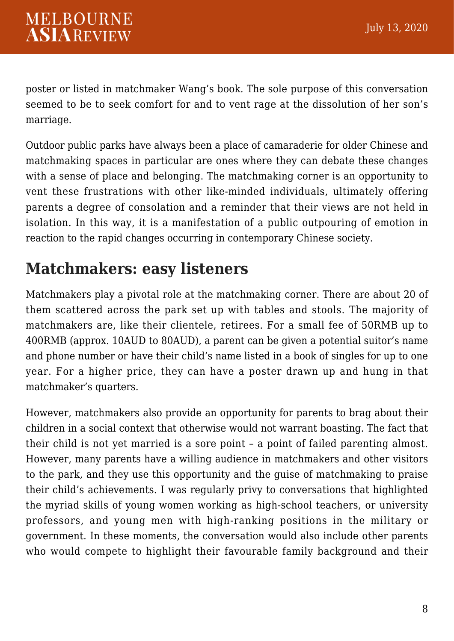poster or listed in matchmaker Wang's book. The sole purpose of this conversation seemed to be to seek comfort for and to vent rage at the dissolution of her son's marriage.

Outdoor public parks have always been a place of camaraderie for older Chinese and matchmaking spaces in particular are ones where they can debate these changes with a sense of place and belonging. The matchmaking corner is an opportunity to vent these frustrations with other like-minded individuals, ultimately offering parents a degree of consolation and a reminder that their views are not held in isolation. In this way, it is a manifestation of a public outpouring of emotion in reaction to the rapid changes occurring in contemporary Chinese society.

### **Matchmakers: easy listeners**

Matchmakers play a pivotal role at the matchmaking corner. There are about 20 of them scattered across the park set up with tables and stools. The majority of matchmakers are, like their clientele, retirees. For a small fee of 50RMB up to 400RMB (approx. 10AUD to 80AUD), a parent can be given a potential suitor's name and phone number or have their child's name listed in a book of singles for up to one year. For a higher price, they can have a poster drawn up and hung in that matchmaker's quarters.

However, matchmakers also provide an opportunity for parents to brag about their children in a social context that otherwise would not warrant boasting. The fact that their child is not yet married is a sore point – a point of failed parenting almost. However, many parents have a willing audience in matchmakers and other visitors to the park, and they use this opportunity and the guise of matchmaking to praise their child's achievements. I was regularly privy to conversations that highlighted the myriad skills of young women working as high-school teachers, or university professors, and young men with high-ranking positions in the military or government. In these moments, the conversation would also include other parents who would compete to highlight their favourable family background and their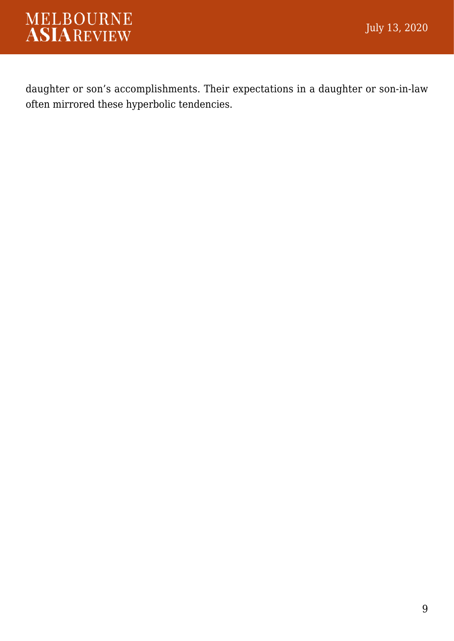daughter or son's accomplishments. Their expectations in a daughter or son-in-law often mirrored these hyperbolic tendencies.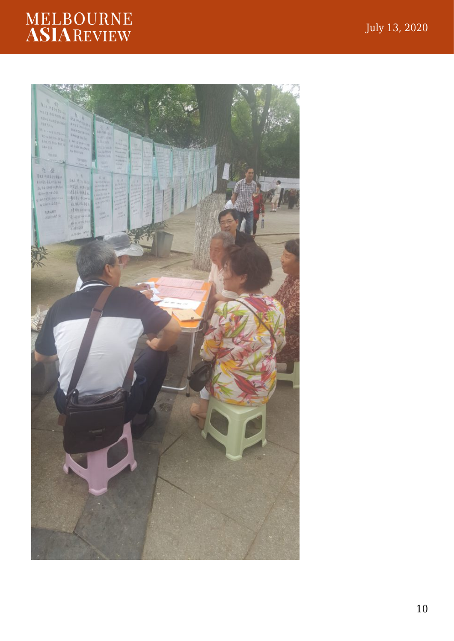#### July 13, 2020

# MELBOURNE<br>ASIAREVIEW